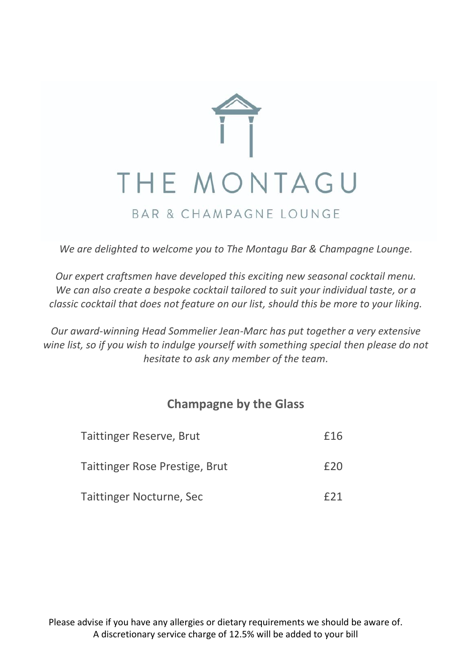

*We are delighted to welcome you to The Montagu Bar & Champagne Lounge.*

*Our expert craftsmen have developed this exciting new seasonal cocktail menu. We can also create a bespoke cocktail tailored to suit your individual taste, or a classic cocktail that does not feature on our list, should this be more to your liking.*

*Our award-winning Head Sommelier Jean-Marc has put together a very extensive wine list, so if you wish to indulge yourself with something special then please do not hesitate to ask any member of the team.*

## **Champagne by the Glass**

| Taittinger Reserve, Brut       | £16  |
|--------------------------------|------|
| Taittinger Rose Prestige, Brut | £20  |
| Taittinger Nocturne, Sec       | f 21 |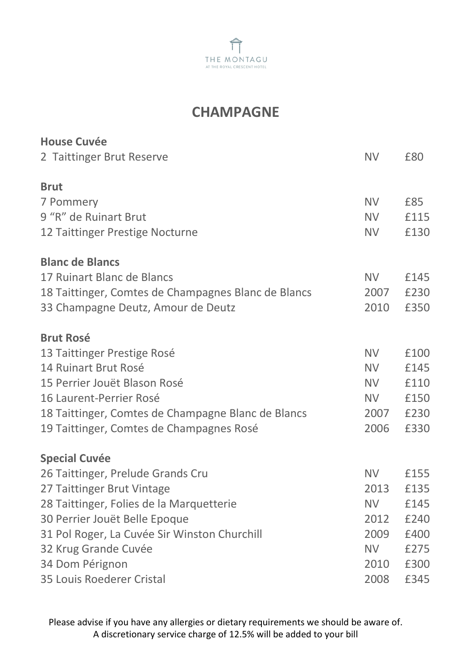

## **CHAMPAGNE**

| House Cuvée                                         |           |      |
|-----------------------------------------------------|-----------|------|
| 2 Taittinger Brut Reserve                           | <b>NV</b> | £80  |
| <b>Brut</b>                                         |           |      |
| 7 Pommery                                           | <b>NV</b> | £85  |
| 9 "R" de Ruinart Brut                               | <b>NV</b> | £115 |
| 12 Taittinger Prestige Nocturne                     | <b>NV</b> | £130 |
| <b>Blanc de Blancs</b>                              |           |      |
| 17 Ruinart Blanc de Blancs                          | <b>NV</b> | £145 |
| 18 Taittinger, Comtes de Champagnes Blanc de Blancs | 2007      | £230 |
| 33 Champagne Deutz, Amour de Deutz                  | 2010      | £350 |
| <b>Brut Rosé</b>                                    |           |      |
| 13 Taittinger Prestige Rosé                         | <b>NV</b> | £100 |
| 14 Ruinart Brut Rosé                                | <b>NV</b> | £145 |
| 15 Perrier Jouët Blason Rosé                        | <b>NV</b> | £110 |
| 16 Laurent-Perrier Rosé                             | NV.       | £150 |
| 18 Taittinger, Comtes de Champagne Blanc de Blancs  | 2007      | £230 |
| 19 Taittinger, Comtes de Champagnes Rosé            | 2006      | £330 |
| <b>Special Cuvée</b>                                |           |      |
| 26 Taittinger, Prelude Grands Cru                   | <b>NV</b> | £155 |
| 27 Taittinger Brut Vintage                          | 2013      | £135 |
| 28 Taittinger, Folies de la Marquetterie            | <b>NV</b> | £145 |
| 30 Perrier Jouët Belle Epoque                       | 2012      | £240 |
| 31 Pol Roger, La Cuvée Sir Winston Churchill        | 2009      | £400 |
| 32 Krug Grande Cuvée                                | <b>NV</b> | £275 |
| 34 Dom Pérignon                                     | 2010      | £300 |
| 35 Louis Roederer Cristal                           | 2008      | £345 |
|                                                     |           |      |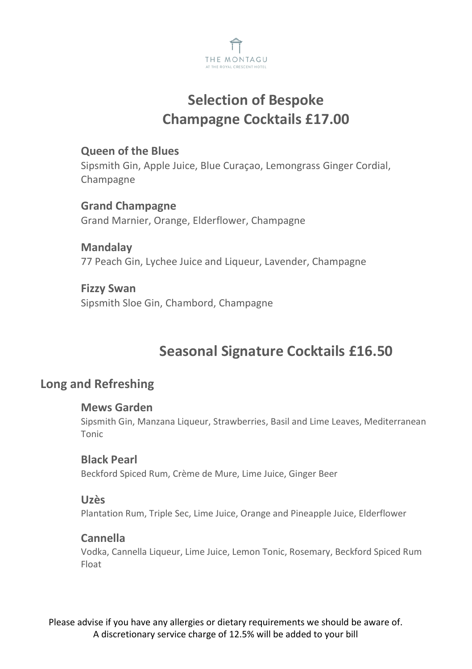

# **Selection of Bespoke Champagne Cocktails £17.00**

## **Queen of the Blues**

Sipsmith Gin, Apple Juice, Blue Curaçao, Lemongrass Ginger Cordial, Champagne

**Grand Champagne** Grand Marnier, Orange, Elderflower, Champagne

**Mandalay** 77 Peach Gin, Lychee Juice and Liqueur, Lavender, Champagne

**Fizzy Swan** Sipsmith Sloe Gin, Chambord, Champagne

# **Seasonal Signature Cocktails £16.50**

## **Long and Refreshing**

## **Mews Garden**

Sipsmith Gin, Manzana Liqueur, Strawberries, Basil and Lime Leaves, Mediterranean Tonic

## **Black Pearl**

Beckford Spiced Rum, Crème de Mure, Lime Juice, Ginger Beer

#### **Uzès**

Plantation Rum, Triple Sec, Lime Juice, Orange and Pineapple Juice, Elderflower

## **Cannella**

Vodka, Cannella Liqueur, Lime Juice, Lemon Tonic, Rosemary, Beckford Spiced Rum Float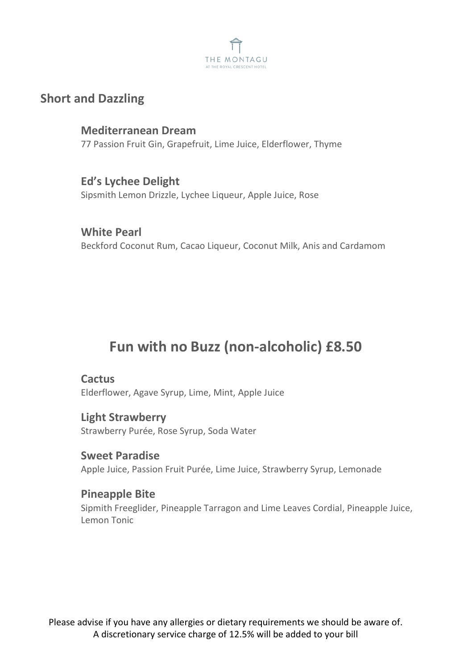

## **Short and Dazzling**

**Mediterranean Dream** 77 Passion Fruit Gin, Grapefruit, Lime Juice, Elderflower, Thyme

**Ed's Lychee Delight** Sipsmith Lemon Drizzle, Lychee Liqueur, Apple Juice, Rose

### **White Pearl**

Beckford Coconut Rum, Cacao Liqueur, Coconut Milk, Anis and Cardamom

# **Fun with no Buzz (non-alcoholic) £8.50**

## **Cactus**

Elderflower, Agave Syrup, Lime, Mint, Apple Juice

#### **Light Strawberry**

Strawberry Purée, Rose Syrup, Soda Water

#### **Sweet Paradise**

Apple Juice, Passion Fruit Purée, Lime Juice, Strawberry Syrup, Lemonade

## **Pineapple Bite**

Sipmith Freeglider, Pineapple Tarragon and Lime Leaves Cordial, Pineapple Juice, Lemon Tonic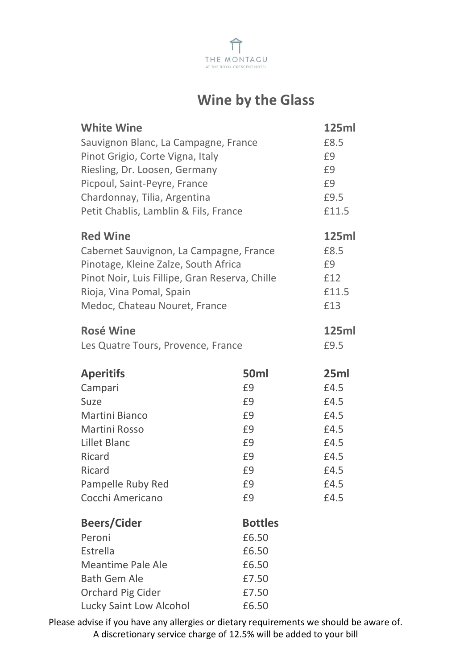

# **Wine by the Glass**

| <b>White Wine</b>                              |                | 125ml |
|------------------------------------------------|----------------|-------|
| Sauvignon Blanc, La Campagne, France           |                | £8.5  |
| Pinot Grigio, Corte Vigna, Italy               | £9             |       |
| Riesling, Dr. Loosen, Germany                  |                | £9    |
| Picpoul, Saint-Peyre, France                   |                | £9    |
| Chardonnay, Tilia, Argentina                   |                | £9.5  |
| Petit Chablis, Lamblin & Fils, France          |                | £11.5 |
| <b>Red Wine</b>                                |                | 125ml |
| Cabernet Sauvignon, La Campagne, France        |                | £8.5  |
| Pinotage, Kleine Zalze, South Africa           |                | £9    |
| Pinot Noir, Luis Fillipe, Gran Reserva, Chille |                | £12   |
| Rioja, Vina Pomal, Spain                       |                | £11.5 |
| Medoc, Chateau Nouret, France                  |                | £13   |
| <b>Rosé Wine</b>                               |                | 125ml |
| Les Quatre Tours, Provence, France             |                | £9.5  |
| <b>Aperitifs</b>                               | 50ml           | 25ml  |
| Campari                                        | £9             | £4.5  |
| Suze                                           | £9             | £4.5  |
| Martini Bianco                                 | £9             | £4.5  |
| Martini Rosso                                  | £9             | £4.5  |
| Lillet Blanc                                   | £9             | £4.5  |
| Ricard                                         | £9             | £4.5  |
| Ricard                                         | £9             | £4.5  |
| Pampelle Ruby Red                              | £9             | £4.5  |
| Cocchi Americano                               | £9             | £4.5  |
| <b>Beers/Cider</b>                             | <b>Bottles</b> |       |
| Peroni                                         | £6.50          |       |
| Estrella                                       | £6.50          |       |
| <b>Meantime Pale Ale</b>                       | £6.50          |       |
| <b>Bath Gem Ale</b>                            | £7.50          |       |
| Orchard Pig Cider                              | £7.50          |       |
| Lucky Saint Low Alcohol                        | £6.50          |       |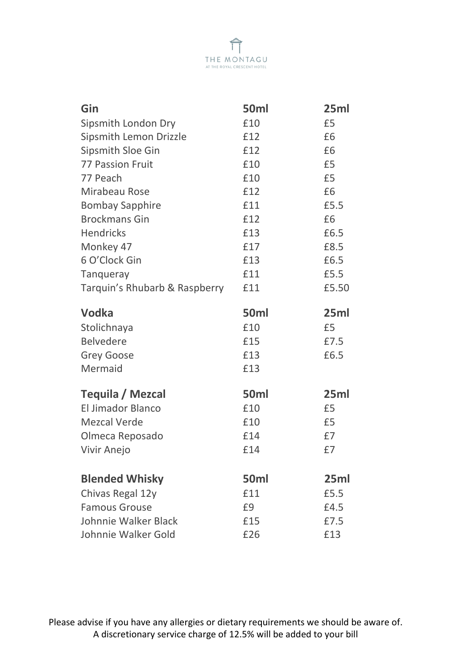

| Gin                                          | <b>50ml</b>      | 25ml         |
|----------------------------------------------|------------------|--------------|
| Sipsmith London Dry                          | £10              | £5           |
| Sipsmith Lemon Drizzle                       | £12              | £6           |
| Sipsmith Sloe Gin                            | £12              | £6           |
| 77 Passion Fruit                             | £10              | £5           |
| 77 Peach                                     | £10              | £5           |
| Mirabeau Rose                                | £12              | £6           |
| <b>Bombay Sapphire</b>                       | £11              | £5.5         |
| <b>Brockmans Gin</b>                         | £12              | £6           |
| <b>Hendricks</b>                             | £13              | £6.5         |
| Monkey 47                                    | £17              | £8.5         |
| 6 O'Clock Gin                                | £13              | £6.5         |
| Tanqueray                                    | £11              | £5.5         |
| Tarquin's Rhubarb & Raspberry                | £11              | £5.50        |
| Vodka                                        | 50 <sub>ml</sub> | 25ml         |
| Stolichnaya                                  | £10              | £5           |
| Belvedere                                    | £15              | £7.5         |
| Grey Goose                                   | £13              | £6.5         |
| Mermaid                                      | £13              |              |
| Tequila / Mezcal                             | 50 <sub>ml</sub> | 25ml         |
| El Jimador Blanco                            | £10              | £5           |
| Mezcal Verde                                 | £10              | £5           |
| Olmeca Reposado                              | £14              | £7           |
| Vivir Anejo                                  | £14              | £7           |
| <b>Blended Whisky</b>                        | 50ml             | 25ml         |
| Chivas Regal 12y                             | £11              | £5.5         |
|                                              |                  |              |
|                                              |                  |              |
| <b>Famous Grouse</b><br>Johnnie Walker Black | £9<br>£15        | £4.5<br>£7.5 |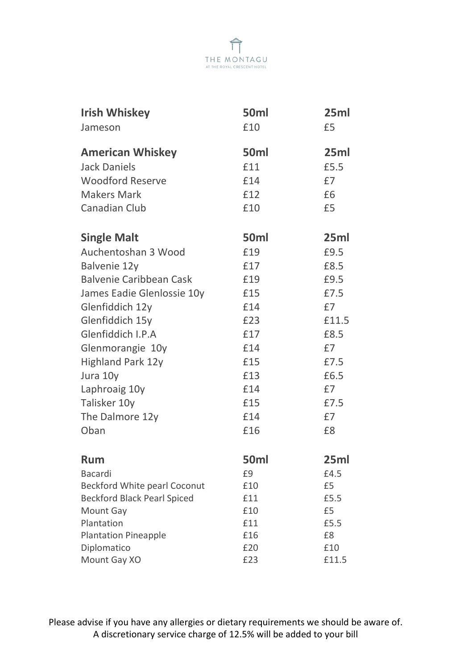

| <b>Irish Whiskey</b><br>Jameson     | <b>50ml</b><br>£10 | 25ml<br>f5 |
|-------------------------------------|--------------------|------------|
| <b>American Whiskey</b>             | 50 <sub>ml</sub>   | 25ml       |
| <b>Jack Daniels</b>                 | £11                | £5.5       |
| <b>Woodford Reserve</b>             | £14                | £7         |
| <b>Makers Mark</b>                  | £12                | £6         |
| Canadian Club                       | £10                | £5         |
| <b>Single Malt</b>                  | 50ml               | 25ml       |
| Auchentoshan 3 Wood                 | £19                | £9.5       |
| Balvenie 12y                        | £17                | £8.5       |
| Balvenie Caribbean Cask             | £19                | £9.5       |
| James Eadie Glenlossie 10y          | £15                | £7.5       |
| Glenfiddich 12y                     | £14                | £7         |
| Glenfiddich 15y                     | £23                | £11.5      |
| Glenfiddich I.P.A                   | £17                | £8.5       |
| Glenmorangie 10y                    | £14                | £7         |
| Highland Park 12y                   | £15                | £7.5       |
| Jura 10y                            | £13                | £6.5       |
| Laphroaig 10y                       | £14                | £7         |
| Talisker 10y                        | £15                | £7.5       |
| The Dalmore 12y                     | £14                | f7         |
| Oban                                | £16                | £8         |
| Rum                                 | <b>50ml</b>        | 25ml       |
| Bacardi                             | £9                 | £4.5       |
| <b>Beckford White pearl Coconut</b> | £10                | £5         |
| <b>Beckford Black Pearl Spiced</b>  | £11                | £5.5       |
| Mount Gay                           | £10                | £5         |
| Plantation                          | £11                | £5.5       |
| <b>Plantation Pineapple</b>         | £16                | £8         |
| Diplomatico                         | £20<br>£23         | £10        |
| Mount Gay XO                        |                    | £11.5      |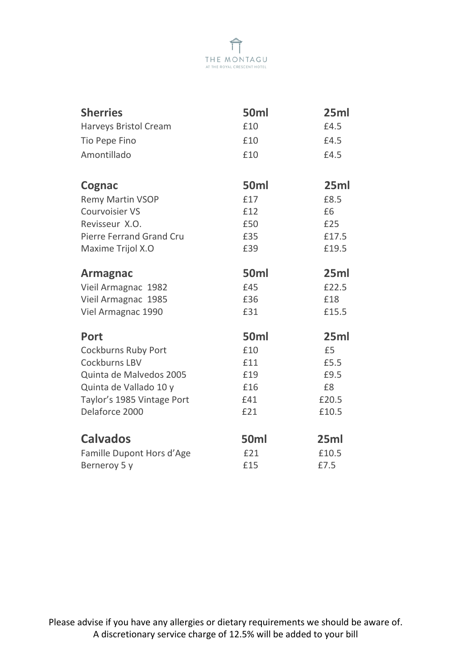

| <b>Sherries</b>            | 50 <sub>ml</sub> | 25ml  |
|----------------------------|------------------|-------|
| Harveys Bristol Cream      | £10              | £4.5  |
| Tio Pepe Fino              | £10              | £4.5  |
| Amontillado                | £10              | £4.5  |
| Cognac                     | 50 <sub>ml</sub> | 25ml  |
| <b>Remy Martin VSOP</b>    | £17              | £8.5  |
| Courvoisier VS             | £12              | £6    |
| Revisseur X.O.             | £50              | £25   |
| Pierre Ferrand Grand Cru   | £35              | £17.5 |
| Maxime Trijol X.O          | £39              | £19.5 |
| Armagnac                   | 50 <sub>ml</sub> | 25ml  |
| Vieil Armagnac 1982        | £45              | £22.5 |
| Vieil Armagnac 1985        | £36              | £18   |
| Viel Armagnac 1990         | £31              | £15.5 |
| Port                       | 50 <sub>ml</sub> | 25ml  |
| Cockburns Ruby Port        | £10              | £5    |
| Cockburns LBV              | £11              | £5.5  |
| Quinta de Malvedos 2005    | £19              | £9.5  |
| Quinta de Vallado 10 y     | £16              | £8    |
| Taylor's 1985 Vintage Port | £41              | £20.5 |
| Delaforce 2000             | £21              | £10.5 |
| Calvados                   | 50 <sub>ml</sub> | 25ml  |
| Famille Dupont Hors d'Age  | £21              | £10.5 |
| Berneroy 5 y               | £15              | £7.5  |